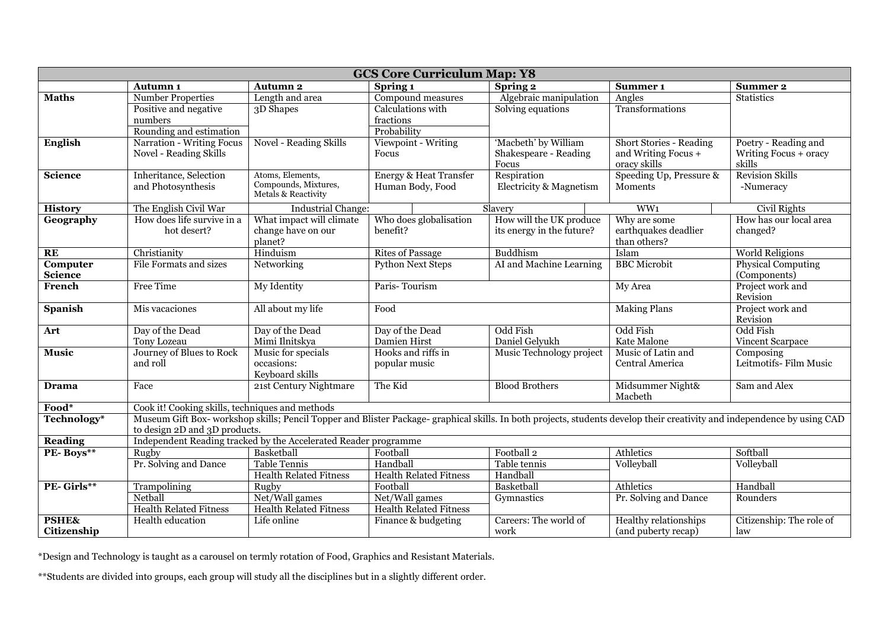| <b>GCS Core Curriculum Map: Y8</b> |                                                                 |                                             |                                   |                                                                                                                                                                        |                                       |                                     |
|------------------------------------|-----------------------------------------------------------------|---------------------------------------------|-----------------------------------|------------------------------------------------------------------------------------------------------------------------------------------------------------------------|---------------------------------------|-------------------------------------|
|                                    | <b>Autumn 1</b>                                                 | <b>Autumn 2</b>                             | Spring 1                          | Spring 2                                                                                                                                                               | Summer <sub>1</sub>                   | <b>Summer 2</b>                     |
| <b>Maths</b>                       | <b>Number Properties</b>                                        | Length and area                             | Compound measures                 | Algebraic manipulation                                                                                                                                                 | Angles                                | <b>Statistics</b>                   |
|                                    | Positive and negative                                           | 3D Shapes                                   | Calculations with                 | Solving equations                                                                                                                                                      | Transformations                       |                                     |
|                                    | numbers                                                         |                                             | fractions                         |                                                                                                                                                                        |                                       |                                     |
|                                    | Rounding and estimation                                         |                                             | Probability                       |                                                                                                                                                                        |                                       |                                     |
| <b>English</b>                     | Narration - Writing Focus                                       | <b>Novel - Reading Skills</b>               | Viewpoint - Writing               | 'Macbeth' by William                                                                                                                                                   | <b>Short Stories - Reading</b>        | Poetry - Reading and                |
|                                    | Novel - Reading Skills                                          |                                             | Focus                             | Shakespeare - Reading                                                                                                                                                  | and Writing Focus +                   | Writing Focus + oracy               |
|                                    |                                                                 |                                             |                                   | Focus                                                                                                                                                                  | oracy skills                          | skills                              |
| <b>Science</b>                     | Inheritance, Selection                                          | Atoms, Elements,                            | <b>Energy &amp; Heat Transfer</b> | Respiration                                                                                                                                                            | Speeding Up, Pressure &               | <b>Revision Skills</b>              |
|                                    | and Photosynthesis                                              | Compounds, Mixtures,<br>Metals & Reactivity | Human Body, Food                  | Electricity & Magnetism                                                                                                                                                | Moments                               | -Numeracy                           |
|                                    |                                                                 |                                             |                                   |                                                                                                                                                                        |                                       |                                     |
| <b>History</b>                     | The English Civil War                                           | <b>Industrial Change:</b>                   |                                   | Slavery                                                                                                                                                                | WW <sub>1</sub>                       | Civil Rights                        |
| Geography                          | How does life survive in a                                      | What impact will climate                    | Who does globalisation            | How will the UK produce                                                                                                                                                | Why are some                          | How has our local area              |
|                                    | hot desert?                                                     | change have on our                          | benefit?                          | its energy in the future?                                                                                                                                              | earthquakes deadlier                  | changed?                            |
|                                    |                                                                 | planet?                                     |                                   |                                                                                                                                                                        | than others?                          |                                     |
| RE                                 | Christianity                                                    | Hinduism                                    | <b>Rites of Passage</b>           | Buddhism                                                                                                                                                               | Islam                                 | <b>World Religions</b>              |
| Computer                           | File Formats and sizes                                          | Networking                                  | <b>Python Next Steps</b>          | AI and Machine Learning                                                                                                                                                | <b>BBC</b> Microbit                   | <b>Physical Computing</b>           |
| <b>Science</b>                     |                                                                 |                                             |                                   |                                                                                                                                                                        |                                       | (Components)                        |
| French                             | Free Time                                                       | My Identity                                 | Paris-Tourism                     |                                                                                                                                                                        | My Area                               | Project work and<br>Revision        |
| <b>Spanish</b>                     | Mis vacaciones                                                  | All about my life                           | Food                              |                                                                                                                                                                        | <b>Making Plans</b>                   | Project work and                    |
|                                    |                                                                 |                                             |                                   |                                                                                                                                                                        |                                       | Revision                            |
| Art                                | Day of the Dead                                                 | Day of the Dead                             | Day of the Dead                   | Odd Fish                                                                                                                                                               | Odd Fish                              | Odd Fish                            |
|                                    | Tony Lozeau                                                     | Mimi Ilnitskya                              | Damien Hirst                      | Daniel Gelyukh                                                                                                                                                         | Kate Malone                           | Vincent Scarpace                    |
| <b>Music</b>                       | Journey of Blues to Rock<br>and roll                            | Music for specials<br>occasions:            | Hooks and riffs in                | Music Technology project                                                                                                                                               | Music of Latin and<br>Central America | Composing<br>Leitmotifs- Film Music |
|                                    |                                                                 | Keyboard skills                             | popular music                     |                                                                                                                                                                        |                                       |                                     |
| Drama                              | Face                                                            | 21st Century Nightmare                      | The Kid                           | <b>Blood Brothers</b>                                                                                                                                                  | Midsummer Night&                      | Sam and Alex                        |
|                                    |                                                                 |                                             |                                   |                                                                                                                                                                        | Macbeth                               |                                     |
| Food*                              | Cook it! Cooking skills, techniques and methods                 |                                             |                                   |                                                                                                                                                                        |                                       |                                     |
| Technology*                        |                                                                 |                                             |                                   | Museum Gift Box-workshop skills; Pencil Topper and Blister Package-graphical skills. In both projects, students develop their creativity and independence by using CAD |                                       |                                     |
|                                    | to design 2D and 3D products.                                   |                                             |                                   |                                                                                                                                                                        |                                       |                                     |
| <b>Reading</b>                     | Independent Reading tracked by the Accelerated Reader programme |                                             |                                   |                                                                                                                                                                        |                                       |                                     |
| PE-Boys**                          | Rugby                                                           | Basketball                                  | Football                          | Football <sub>2</sub>                                                                                                                                                  | Athletics                             | Softball                            |
|                                    | Pr. Solving and Dance                                           | <b>Table Tennis</b>                         | Handball                          | Table tennis                                                                                                                                                           | Volleyball                            | Volleyball                          |
|                                    |                                                                 | <b>Health Related Fitness</b>               | <b>Health Related Fitness</b>     | Handball                                                                                                                                                               |                                       |                                     |
| PE-Girls**                         | Trampolining                                                    | Rugby                                       | Football                          | Basketball                                                                                                                                                             | Athletics                             | Handball                            |
|                                    | Netball                                                         | Net/Wall games                              | Net/Wall games                    | Gymnastics                                                                                                                                                             | Pr. Solving and Dance                 | Rounders                            |
|                                    | <b>Health Related Fitness</b>                                   | <b>Health Related Fitness</b>               | <b>Health Related Fitness</b>     |                                                                                                                                                                        |                                       |                                     |
| PSHE&                              | Health education                                                | Life online                                 | Finance & budgeting               | Careers: The world of                                                                                                                                                  | Healthy relationships                 | Citizenship: The role of            |
| Citizenship                        |                                                                 |                                             |                                   | work                                                                                                                                                                   | (and puberty recap)                   | law                                 |

\*Design and Technology is taught as a carousel on termly rotation of Food, Graphics and Resistant Materials.

\*\*Students are divided into groups, each group will study all the disciplines but in a slightly different order.